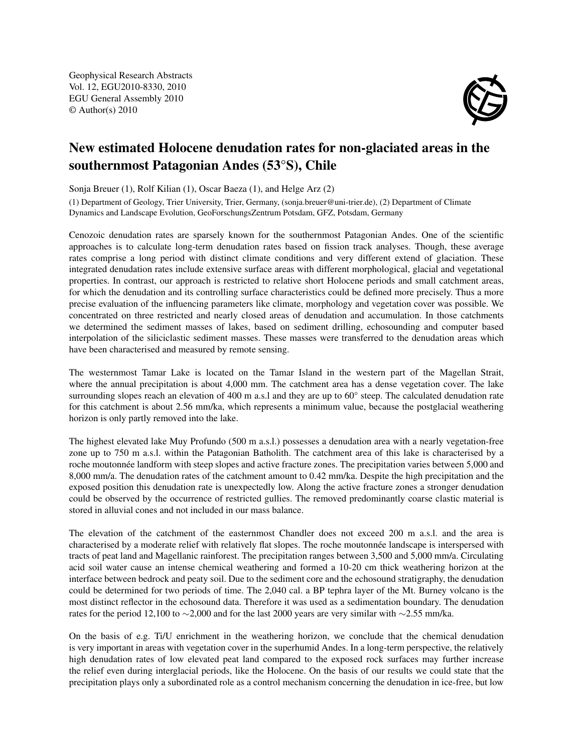Geophysical Research Abstracts Vol. 12, EGU2010-8330, 2010 EGU General Assembly 2010 © Author(s) 2010



## New estimated Holocene denudation rates for non-glaciated areas in the southernmost Patagonian Andes (53°S), Chile

Sonja Breuer (1), Rolf Kilian (1), Oscar Baeza (1), and Helge Arz (2)

(1) Department of Geology, Trier University, Trier, Germany, (sonja.breuer@uni-trier.de), (2) Department of Climate Dynamics and Landscape Evolution, GeoForschungsZentrum Potsdam, GFZ, Potsdam, Germany

Cenozoic denudation rates are sparsely known for the southernmost Patagonian Andes. One of the scientific approaches is to calculate long-term denudation rates based on fission track analyses. Though, these average rates comprise a long period with distinct climate conditions and very different extend of glaciation. These integrated denudation rates include extensive surface areas with different morphological, glacial and vegetational properties. In contrast, our approach is restricted to relative short Holocene periods and small catchment areas, for which the denudation and its controlling surface characteristics could be defined more precisely. Thus a more precise evaluation of the influencing parameters like climate, morphology and vegetation cover was possible. We concentrated on three restricted and nearly closed areas of denudation and accumulation. In those catchments we determined the sediment masses of lakes, based on sediment drilling, echosounding and computer based interpolation of the siliciclastic sediment masses. These masses were transferred to the denudation areas which have been characterised and measured by remote sensing.

The westernmost Tamar Lake is located on the Tamar Island in the western part of the Magellan Strait, where the annual precipitation is about 4,000 mm. The catchment area has a dense vegetation cover. The lake surrounding slopes reach an elevation of 400 m a.s.l and they are up to 60° steep. The calculated denudation rate for this catchment is about 2.56 mm/ka, which represents a minimum value, because the postglacial weathering horizon is only partly removed into the lake.

The highest elevated lake Muy Profundo (500 m a.s.l.) possesses a denudation area with a nearly vegetation-free zone up to 750 m a.s.l. within the Patagonian Batholith. The catchment area of this lake is characterised by a roche moutonnée landform with steep slopes and active fracture zones. The precipitation varies between 5,000 and 8,000 mm/a. The denudation rates of the catchment amount to 0.42 mm/ka. Despite the high precipitation and the exposed position this denudation rate is unexpectedly low. Along the active fracture zones a stronger denudation could be observed by the occurrence of restricted gullies. The removed predominantly coarse clastic material is stored in alluvial cones and not included in our mass balance.

The elevation of the catchment of the easternmost Chandler does not exceed 200 m a.s.l. and the area is characterised by a moderate relief with relatively flat slopes. The roche moutonnée landscape is interspersed with tracts of peat land and Magellanic rainforest. The precipitation ranges between 3,500 and 5,000 mm/a. Circulating acid soil water cause an intense chemical weathering and formed a 10-20 cm thick weathering horizon at the interface between bedrock and peaty soil. Due to the sediment core and the echosound stratigraphy, the denudation could be determined for two periods of time. The 2,040 cal. a BP tephra layer of the Mt. Burney volcano is the most distinct reflector in the echosound data. Therefore it was used as a sedimentation boundary. The denudation rates for the period 12,100 to ∼2,000 and for the last 2000 years are very similar with ∼2.55 mm/ka.

On the basis of e.g. Ti/U enrichment in the weathering horizon, we conclude that the chemical denudation is very important in areas with vegetation cover in the superhumid Andes. In a long-term perspective, the relatively high denudation rates of low elevated peat land compared to the exposed rock surfaces may further increase the relief even during interglacial periods, like the Holocene. On the basis of our results we could state that the precipitation plays only a subordinated role as a control mechanism concerning the denudation in ice-free, but low